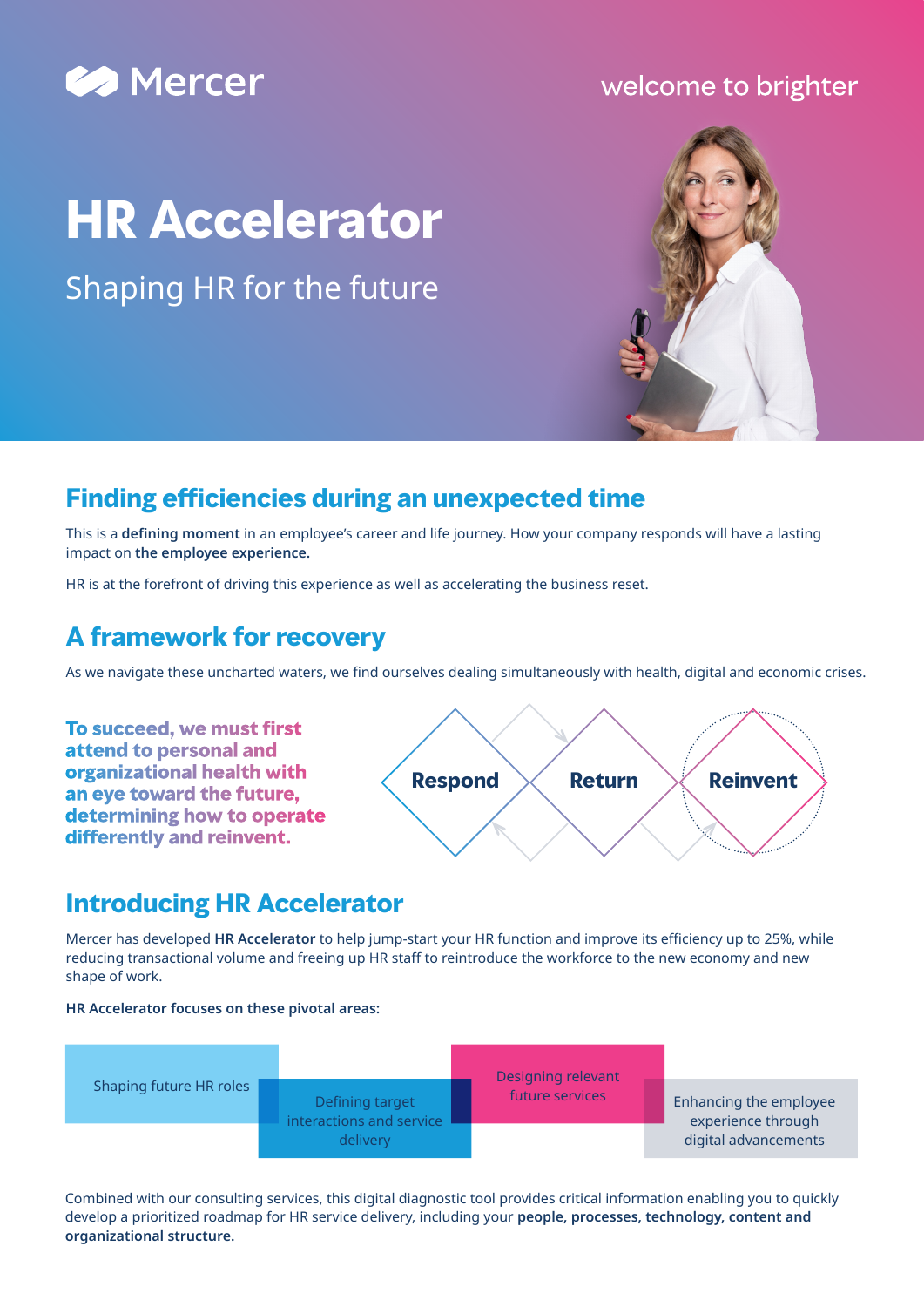

#### welcome to brighter

# **HR Accelerator**

Shaping HR for the future

#### **Finding efficiencies during an unexpected time**

This is a **defining moment** in an employee's career and life journey. How your company responds will have a lasting impact on **the employee experience.** 

HR is at the forefront of driving this experience as well as accelerating the business reset.

#### **A framework for recovery**

As we navigate these uncharted waters, we find ourselves dealing simultaneously with health, digital and economic crises.

**To succeed, we must first attend to personal and organizational health with an eye toward the future, determining how to operate differently and reinvent.**



#### **Introducing HR Accelerator**

Mercer has developed **HR Accelerator** to help jump-start your HR function and improve its efficiency up to 25%, while reducing transactional volume and freeing up HR staff to reintroduce the workforce to the new economy and new shape of work.





Combined with our consulting services, this digital diagnostic tool provides critical information enabling you to quickly develop a prioritized roadmap for HR service delivery, including your **people, processes, technology, content and organizational structure.**